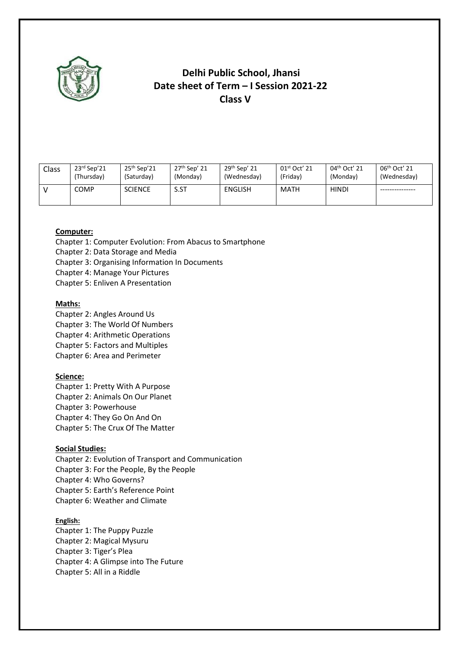

### **Delhi Public School, Jhansi Date sheet of Term – I Session 2021-22 Class V**

| Class | $23rd$ Sep'21 | $25th$ Sep'21  | 27 <sup>th</sup> Sep' 21 | 29 <sup>th</sup> Sep' 21 | $01st$ Oct' 21 | 04 <sup>th</sup> Oct' 21 | 06 <sup>th</sup> Oct' 21 |
|-------|---------------|----------------|--------------------------|--------------------------|----------------|--------------------------|--------------------------|
|       | (Thursday)    | (Saturday)     | (Monday)                 | (Wednesday)              | (Friday)       | (Monday)                 | (Wednesday)              |
|       | <b>COMP</b>   | <b>SCIENCE</b> | S.ST                     | ENGLISH                  | MATH           | <b>HINDI</b>             |                          |

### **Computer:**

Chapter 1: Computer Evolution: From Abacus to Smartphone

Chapter 2: Data Storage and Media

Chapter 3: Organising Information In Documents

Chapter 4: Manage Your Pictures

Chapter 5: Enliven A Presentation

#### **Maths:**

Chapter 2: Angles Around Us Chapter 3: The World Of Numbers Chapter 4: Arithmetic Operations Chapter 5: Factors and Multiples

Chapter 6: Area and Perimeter

### **Science:**

Chapter 1: Pretty With A Purpose Chapter 2: Animals On Our Planet Chapter 3: Powerhouse Chapter 4: They Go On And On Chapter 5: The Crux Of The Matter

#### **Social Studies:**

Chapter 2: Evolution of Transport and Communication Chapter 3: For the People, By the People Chapter 4: Who Governs? Chapter 5: Earth's Reference Point Chapter 6: Weather and Climate

#### **English:**

Chapter 1: The Puppy Puzzle Chapter 2: Magical Mysuru Chapter 3: Tiger's Plea Chapter 4: A Glimpse into The Future Chapter 5: All in a Riddle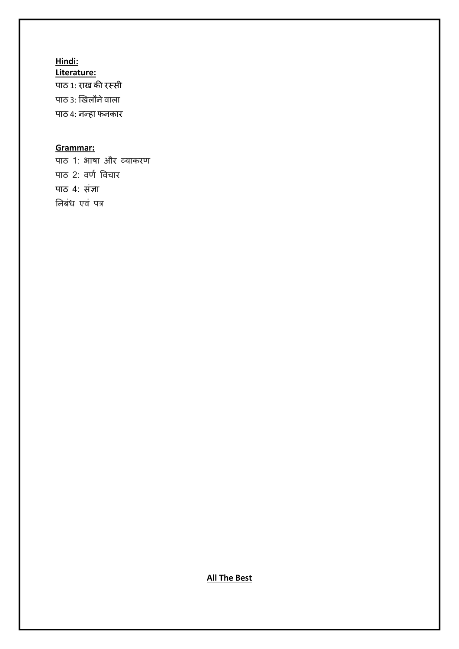**Hindi:**

**Literature:** पाठ 1: राख की रस्सी पाठ ३: खिलौने वाला पाठ 4: नन्हा फनकार

### **Grammar:**

पाठ 1: भाषा और व्याकरण पाठ 2: वर्ण विचार पाठ 4: संज्ञा ननबंध एवं पत्र

**All The Best**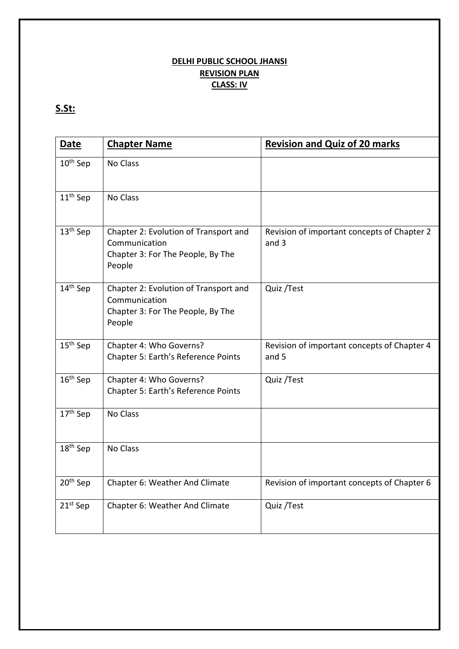### **DELHI PUBLIC SCHOOL JHANSI REVISION PLAN CLASS: IV**

## **S.St:**

| <b>Date</b>          | <b>Chapter Name</b>                                                                                   | <b>Revision and Quiz of 20 marks</b>                 |
|----------------------|-------------------------------------------------------------------------------------------------------|------------------------------------------------------|
| 10 <sup>th</sup> Sep | No Class                                                                                              |                                                      |
| $11th$ Sep           | No Class                                                                                              |                                                      |
| 13 <sup>th</sup> Sep | Chapter 2: Evolution of Transport and<br>Communication<br>Chapter 3: For The People, By The<br>People | Revision of important concepts of Chapter 2<br>and 3 |
| 14 <sup>th</sup> Sep | Chapter 2: Evolution of Transport and<br>Communication<br>Chapter 3: For The People, By The<br>People | Quiz / Test                                          |
| 15 <sup>th</sup> Sep | Chapter 4: Who Governs?<br>Chapter 5: Earth's Reference Points                                        | Revision of important concepts of Chapter 4<br>and 5 |
| 16 <sup>th</sup> Sep | Chapter 4: Who Governs?<br>Chapter 5: Earth's Reference Points                                        | Quiz / Test                                          |
| 17 <sup>th</sup> Sep | No Class                                                                                              |                                                      |
| $18th$ Sep           | No Class                                                                                              |                                                      |
| 20 <sup>th</sup> Sep | Chapter 6: Weather And Climate                                                                        | Revision of important concepts of Chapter 6          |
| 21 <sup>st</sup> Sep | Chapter 6: Weather And Climate                                                                        | Quiz / Test                                          |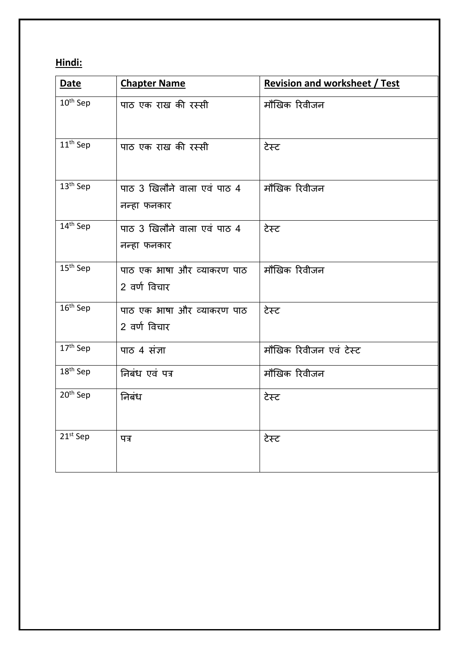## **Hindi:**

| <b>Date</b>          | <b>Chapter Name</b>                        | <b>Revision and worksheet / Test</b> |
|----------------------|--------------------------------------------|--------------------------------------|
| 10 <sup>th</sup> Sep | पाठ एक राख की रस्सी                        | मौखिक रिवीजन                         |
| 11 <sup>th</sup> Sep | पाठ एक राख की रस्सी                        | टेस्ट                                |
| $13th$ Sep           | पाठ 3 खिलौने वाला एवं पाठ 4<br>नन्हा फनकार | मौखिक रिवीजन                         |
| 14 <sup>th</sup> Sep | पाठ 3 खिलौने वाला एवं पाठ 4<br>नन्हा फनकार | टेस्ट                                |
| 15 <sup>th</sup> Sep | पाठ एक भाषा और व्याकरण पाठ<br>2 वर्ण विचार | मौखिक रिवीजन                         |
| 16 <sup>th</sup> Sep | पाठ एक भाषा और व्याकरण पाठ<br>2 वर्ण विचार | टेस्ट                                |
| 17th Sep             | पाठ 4 संज्ञा                               | मौखिक रिवीजन एवं टेस्ट               |
| 18 <sup>th</sup> Sep | निबंध एवं पत्र                             | मौखिक रिवीजन                         |
| 20 <sup>th</sup> Sep | निबंध                                      | टेस्ट                                |
| 21 <sup>st</sup> Sep | पत्र                                       | टेस्ट                                |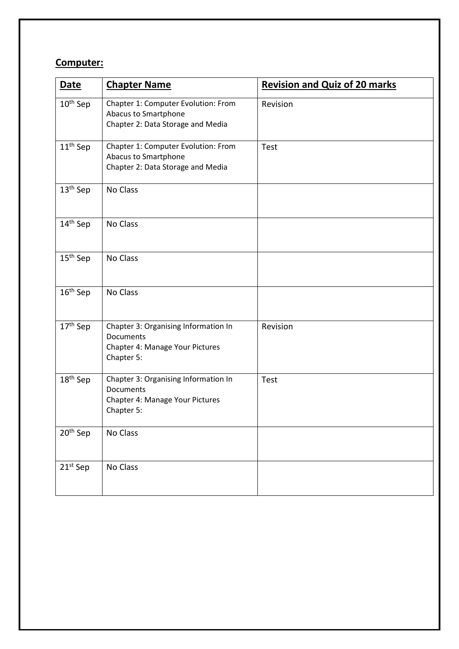## **Computer:**

| <b>Date</b>          | <b>Chapter Name</b>                                                                                | <b>Revision and Quiz of 20 marks</b> |
|----------------------|----------------------------------------------------------------------------------------------------|--------------------------------------|
| $10^{\text{th}}$ Sep | Chapter 1: Computer Evolution: From<br>Abacus to Smartphone<br>Chapter 2: Data Storage and Media   | Revision                             |
| 11 <sup>th</sup> Sep | Chapter 1: Computer Evolution: From<br>Abacus to Smartphone<br>Chapter 2: Data Storage and Media   | <b>Test</b>                          |
| $13th$ Sep           | No Class                                                                                           |                                      |
| 14 <sup>th</sup> Sep | No Class                                                                                           |                                      |
| 15 <sup>th</sup> Sep | No Class                                                                                           |                                      |
| 16 <sup>th</sup> Sep | No Class                                                                                           |                                      |
| 17 <sup>th</sup> Sep | Chapter 3: Organising Information In<br>Documents<br>Chapter 4: Manage Your Pictures<br>Chapter 5: | Revision                             |
| 18 <sup>th</sup> Sep | Chapter 3: Organising Information In<br>Documents<br>Chapter 4: Manage Your Pictures<br>Chapter 5: | Test                                 |
| 20 <sup>th</sup> Sep | No Class                                                                                           |                                      |
| 21st Sep             | No Class                                                                                           |                                      |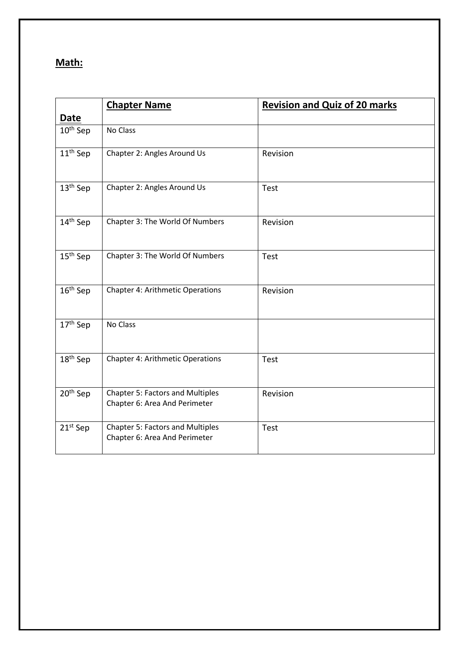## **Math:**

|                      | <b>Chapter Name</b>                                                      | <b>Revision and Quiz of 20 marks</b> |
|----------------------|--------------------------------------------------------------------------|--------------------------------------|
| <b>Date</b>          |                                                                          |                                      |
| 10 <sup>th</sup> Sep | No Class                                                                 |                                      |
| 11 <sup>th</sup> Sep | Chapter 2: Angles Around Us                                              | Revision                             |
| 13 <sup>th</sup> Sep | Chapter 2: Angles Around Us                                              | Test                                 |
| 14 <sup>th</sup> Sep | Chapter 3: The World Of Numbers                                          | Revision                             |
| $15th$ Sep           | Chapter 3: The World Of Numbers                                          | Test                                 |
| 16 <sup>th</sup> Sep | <b>Chapter 4: Arithmetic Operations</b>                                  | Revision                             |
| 17 <sup>th</sup> Sep | No Class                                                                 |                                      |
| 18 <sup>th</sup> Sep | <b>Chapter 4: Arithmetic Operations</b>                                  | Test                                 |
| $20th$ Sep           | <b>Chapter 5: Factors and Multiples</b><br>Chapter 6: Area And Perimeter | Revision                             |
| $21st$ Sep           | <b>Chapter 5: Factors and Multiples</b><br>Chapter 6: Area And Perimeter | Test                                 |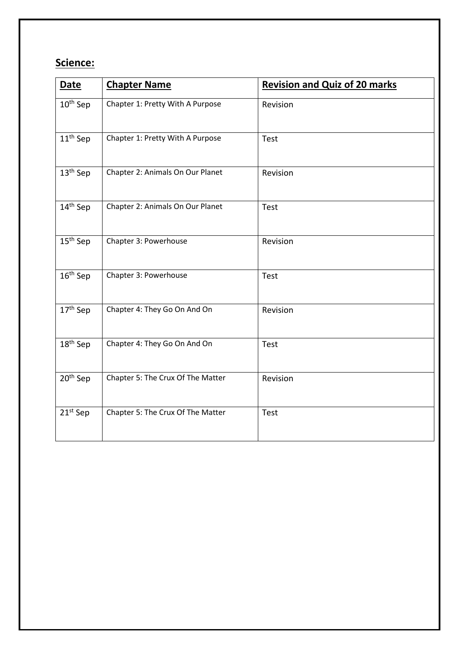## **Science:**

| <b>Date</b>          | <b>Chapter Name</b>               | <b>Revision and Quiz of 20 marks</b> |
|----------------------|-----------------------------------|--------------------------------------|
| 10 <sup>th</sup> Sep | Chapter 1: Pretty With A Purpose  | Revision                             |
| $11th$ Sep           | Chapter 1: Pretty With A Purpose  | Test                                 |
| 13 <sup>th</sup> Sep | Chapter 2: Animals On Our Planet  | Revision                             |
| 14 <sup>th</sup> Sep | Chapter 2: Animals On Our Planet  | Test                                 |
| $15th$ Sep           | Chapter 3: Powerhouse             | Revision                             |
| 16 <sup>th</sup> Sep | Chapter 3: Powerhouse             | Test                                 |
| 17 <sup>th</sup> Sep | Chapter 4: They Go On And On      | Revision                             |
| 18 <sup>th</sup> Sep | Chapter 4: They Go On And On      | Test                                 |
| 20 <sup>th</sup> Sep | Chapter 5: The Crux Of The Matter | Revision                             |
| $21st$ Sep           | Chapter 5: The Crux Of The Matter | Test                                 |